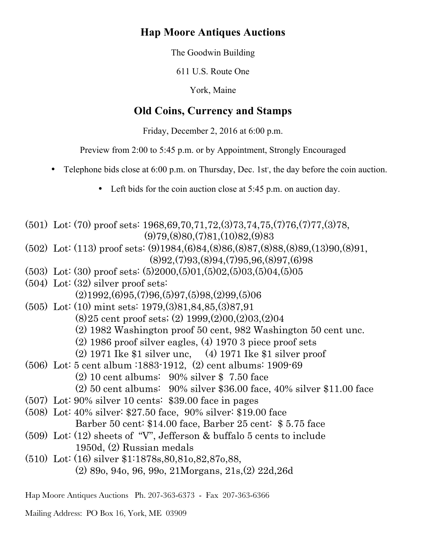# **Hap Moore Antiques Auctions**

The Goodwin Building

611 U.S. Route One

York, Maine

# **Old Coins, Currency and Stamps**

Friday, December 2, 2016 at 6:00 p.m.

Preview from 2:00 to 5:45 p.m. or by Appointment, Strongly Encouraged

- Telephone bids close at 6:00 p.m. on Thursday, Dec. 1st, the day before the coin auction.
	- Left bids for the coin auction close at 5:45 p.m. on auction day.

(501) Lot: (70) proof sets: 1968,69,70,71,72,(3)73,74,75,(7)76,(7)77,(3)78,  $(9)79(8)80(7)81(10)82(9)83$ (502) Lot: (113) proof sets: (9)1984,(6)84,(8)86,(8)87,(8)88,(8)89,(13)90,(8)91,  $(8)92,(7)93,(8)94,(7)95,96,(8)97,(6)98$ (503) Lot: (30) proof sets: (5)2000,(5)01,(5)02,(5)03,(5)04,(5)05 (504) Lot: (32) silver proof sets:  $(2)1992,(6)95,(7)96,(5)97,(5)98,(2)99,(5)06$ (505) Lot: (10) mint sets: 1979,(3)81,84,85,(3)87,91 (8)25 cent proof sets; (2) 1999,(2)00,(2)03,(2)04 (2) 1982 Washington proof 50 cent, 982 Washington 50 cent unc. (2) 1986 proof silver eagles, (4) 1970 3 piece proof sets (2) 1971 Ike \$1 silver unc, (4) 1971 Ike \$1 silver proof (506) Lot: 5 cent album :1883-1912, (2) cent albums: 1909-69 (2) 10 cent albums: 90% silver \$ 7.50 face (2) 50 cent albums: 90% silver \$36.00 face, 40% silver \$11.00 face (507) Lot: 90% silver 10 cents: \$39.00 face in pages (508) Lot: 40% silver: \$27.50 face, 90% silver: \$19.00 face Barber 50 cent: \$14.00 face, Barber 25 cent: \$ 5.75 face (509) Lot: (12) sheets of "V", Jefferson & buffalo 5 cents to include 1950d, (2) Russian medals (510) Lot: (16) silver \$1:1878s,80,81o,82,87o,88, (2) 89o, 94o, 96, 99o, 21Morgans, 21s,(2) 22d,26d

Hap Moore Antiques Auctions Ph. 207-363-6373 - Fax 207-363-6366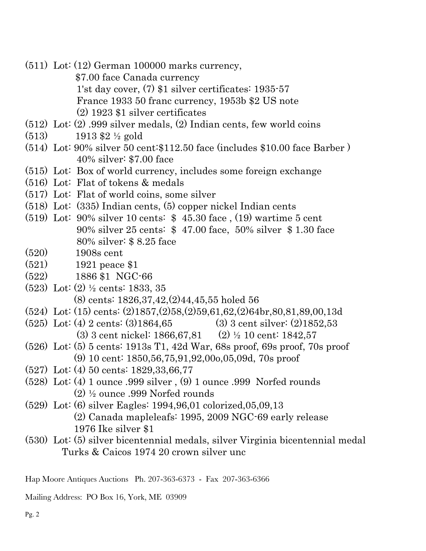- (511) Lot: (12) German 100000 marks currency, \$7.00 face Canada currency 1'st day cover, (7) \$1 silver certificates: 1935-57 France 1933 50 franc currency, 1953b \$2 US note (2) 1923 \$1 silver certificates
- (512) Lot: (2) .999 silver medals, (2) Indian cents, few world coins
- (513) 1913 \$2 ½ gold
- (514) Lot: 90% silver 50 cent:\$112.50 face (includes \$10.00 face Barber ) 40% silver: \$7.00 face
- (515) Lot: Box of world currency, includes some foreign exchange
- (516) Lot: Flat of tokens & medals
- (517) Lot: Flat of world coins, some silver
- (518) Lot: (335) Indian cents, (5) copper nickel Indian cents
- (519) Lot: 90% silver 10 cents: \$ 45.30 face , (19) wartime 5 cent 90% silver 25 cents: \$ 47.00 face, 50% silver \$ 1.30 face 80% silver: \$ 8.25 face
- (520) 1908s cent
- (521) 1921 peace \$1
- (522) 1886 \$1 NGC-66
- (523) Lot: (2) ½ cents: 1833, 35 (8) cents: 1826,37,42,(2)44,45,55 holed 56
- (524) Lot: (15) cents: (2)1857,(2)58,(2)59,61,62,(2)64br,80,81,89,00,13d
- (525) Lot: (4) 2 cents: (3)1864,65 (3) 3 cent silver: (2)1852,53 (3) 3 cent nickel: 1866,67,81 (2) ½ 10 cent: 1842,57
- (526) Lot: (5) 5 cents: 1913s T1, 42d War, 68s proof, 69s proof, 70s proof (9) 10 cent: 1850,56,75,91,92,00o,05,09d, 70s proof
- (527) Lot: (4) 50 cents: 1829,33,66,77
- (528) Lot: (4) 1 ounce .999 silver , (9) 1 ounce .999 Norfed rounds (2) ½ ounce .999 Norfed rounds
- (529) Lot: (6) silver Eagles: 1994,96,01 colorized,05,09,13 (2) Canada mapleleafs: 1995, 2009 NGC-69 early release 1976 Ike silver \$1
- (530) Lot: (5) silver bicentennial medals, silver Virginia bicentennial medal Turks & Caicos 1974 20 crown silver unc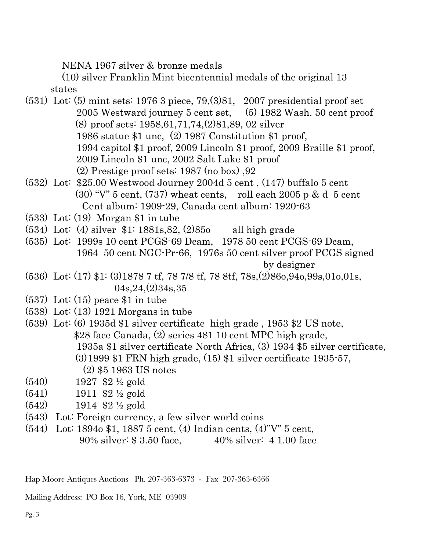NENA 1967 silver & bronze medals

 (10) silver Franklin Mint bicentennial medals of the original 13 states

- (531) Lot: (5) mint sets: 1976 3 piece, 79,(3)81, 2007 presidential proof set 2005 Westward journey 5 cent set, (5) 1982 Wash. 50 cent proof (8) proof sets: 1958,61,71,74,(2)81,89, 02 silver 1986 statue \$1 unc, (2) 1987 Constitution \$1 proof, 1994 capitol \$1 proof, 2009 Lincoln \$1 proof, 2009 Braille \$1 proof, 2009 Lincoln \$1 unc, 2002 Salt Lake \$1 proof (2) Prestige proof sets: 1987 (no box) ,92
- (532) Lot: \$25.00 Westwood Journey 2004d 5 cent , (147) buffalo 5 cent  $(30)$  "V" 5 cent,  $(737)$  wheat cents, roll each 2005 p & d 5 cent Cent album: 1909-29, Canada cent album: 1920-63
- (533) Lot: (19) Morgan \$1 in tube
- (534) Lot: (4) silver \$1: 1881s,82, (2)85o all high grade
- (535) Lot: 1999s 10 cent PCGS-69 Dcam, 1978 50 cent PCGS-69 Dcam, 1964 50 cent NGC-Pr-66, 1976s 50 cent silver proof PCGS signed by designer
- (536) Lot: (17) \$1: (3)1878 7 tf, 78 7/8 tf, 78 8tf, 78s,(2)86o,94o,99s,01o,01s, 04s,24,(2)34s,35
- $(537)$  Lot:  $(15)$  peace \$1 in tube
- (538) Lot: (13) 1921 Morgans in tube
- (539) Lot: (6) 1935d \$1 silver certificate high grade , 1953 \$2 US note, \$28 face Canada, (2) series 481 10 cent MPC high grade, 1935a \$1 silver certificate North Africa, (3) 1934 \$5 silver certificate, (3)1999 \$1 FRN high grade, (15) \$1 silver certificate 1935-57, (2) \$5 1963 US notes
- (540) 1927 \$2 ½ gold
- $(541)$  1911 \$2 <sup>1</sup>/<sub>2</sub> gold
- (542) 1914 \$2 ½ gold
- (543) Lot: Foreign currency, a few silver world coins
- (544) Lot: 1894o \$1, 1887 5 cent, (4) Indian cents, (4)"V" 5 cent, 90% silver: \$ 3.50 face, 40% silver: 4 1.00 face

Hap Moore Antiques Auctions Ph. 207-363-6373 - Fax 207-363-6366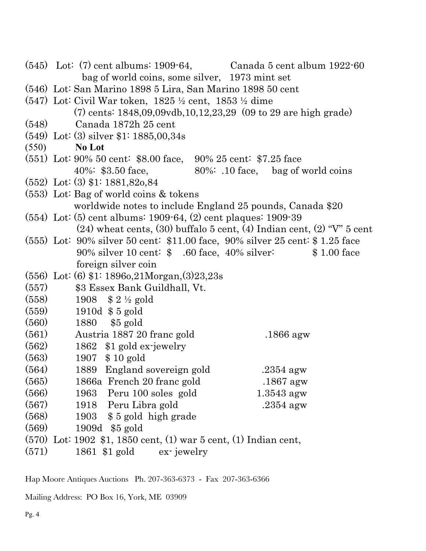|                                                                                | $(545)$ Lot: (7) cent albums: 1909-64, Canada 5 cent album 1922-60                  |
|--------------------------------------------------------------------------------|-------------------------------------------------------------------------------------|
|                                                                                | bag of world coins, some silver, 1973 mint set                                      |
| (546) Lot: San Marino 1898 5 Lira, San Marino 1898 50 cent                     |                                                                                     |
| $(547)$ Lot: Civil War token, 1825 $\frac{1}{2}$ cent, 1853 $\frac{1}{2}$ dime |                                                                                     |
|                                                                                | $(7)$ cents: 1848,09,09vdb,10,12,23,29 $(09 \text{ to } 29 \text{ are high grade})$ |
| (548)<br>Canada 1872h 25 cent                                                  |                                                                                     |
| $(549)$ Lot: (3) silver \$1: 1885,00,34s                                       |                                                                                     |
| (550)<br><b>No Lot</b>                                                         |                                                                                     |
| (551) Lot: 90% 50 cent: \$8.00 face, 90% 25 cent: \$7.25 face                  |                                                                                     |
|                                                                                | $40\%$ : \$3.50 face, $80\%$ : .10 face, bag of world coins                         |
| $(552)$ Lot: (3) \$1: 1881,820,84                                              |                                                                                     |
| $(553)$ Lot: Bag of world coins & tokens                                       |                                                                                     |
|                                                                                | worldwide notes to include England 25 pounds, Canada \$20                           |
| $(554)$ Lot: $(5)$ cent albums: 1909-64, $(2)$ cent plaques: 1909-39           |                                                                                     |
|                                                                                | $(24)$ wheat cents, $(30)$ buffalo 5 cent, $(4)$ Indian cent, $(2)$ "V" 5 cent      |
|                                                                                | $(555)$ Lot: 90% silver 50 cent: \$11.00 face, 90% silver 25 cent: \$1.25 face      |
|                                                                                | 90% silver 10 cent: $$.60$ face, 40% silver: $$1.00$ face                           |
| foreign silver coin                                                            |                                                                                     |
| $(556)$ Lot: $(6)$ \$1: 1896o, 21Morgan, $(3)$ 23, 23s                         |                                                                                     |
| (557)<br>\$3 Essex Bank Guildhall, Vt.                                         |                                                                                     |
| (558)<br>1908 $$2\frac{1}{2}$ gold                                             |                                                                                     |
| (559)<br>1910d $$5$ gold                                                       |                                                                                     |
| (560)<br>1880 \$5 gold                                                         |                                                                                     |
| (561)<br>Austria 1887 20 france gold                                           | $.1866$ agw                                                                         |
| (562)<br>1862 \$1 gold ex-jewelry                                              |                                                                                     |
| (563)<br>1907 \$10 gold                                                        |                                                                                     |
| (564)<br>1889 England sovereign gold                                           | $.2354$ agw                                                                         |
| (565)<br>1866a French 20 franc gold                                            | $.1867$ agw                                                                         |
| (566)<br>Peru 100 soles gold<br>1963                                           | $1.3543$ agw                                                                        |
| (567)<br>1918 Peru Libra gold                                                  | $.2354$ agw                                                                         |
| (568)<br>1903 \$5 gold high grade                                              |                                                                                     |
| (569)<br>1909d \$5 gold                                                        |                                                                                     |
| $(570)$ Lot: 1902 \$1, 1850 cent, (1) war 5 cent, (1) Indian cent,             |                                                                                     |
| (571)<br>1861 \$1 gold                                                         | ex-jewelry                                                                          |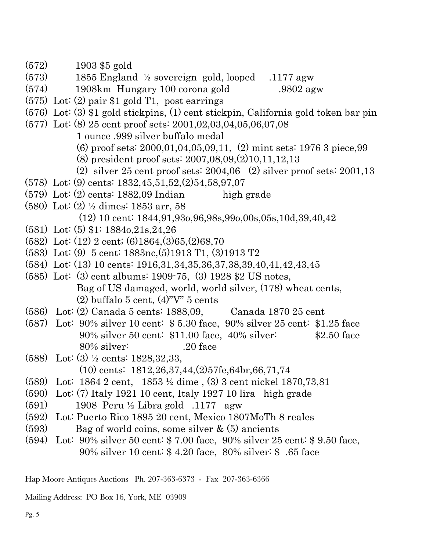- (572) 1903 \$5 gold
- $(573)$  1855 England ½ sovereign gold, looped .1177 agw
- (574) 1908km Hungary 100 corona gold .9802 agw
- (575) Lot: (2) pair \$1 gold T1, post earrings
- (576) Lot: (3) \$1 gold stickpins, (1) cent stickpin, California gold token bar pin
- (577) Lot: (8) 25 cent proof sets: 2001,02,03,04,05,06,07,08
	- 1 ounce .999 silver buffalo medal
	- (6) proof sets: 2000,01,04,05,09,11, (2) mint sets: 1976 3 piece,99
	- (8) president proof sets: 2007,08,09,(2)10,11,12,13
	- (2) silver 25 cent proof sets:  $2004,06$  (2) silver proof sets:  $2001,13$
- (578) Lot: (9) cents: 1832,45,51,52,(2)54,58,97,07
- $(579)$  Lot:  $(2)$  cents: 1882,09 Indian high grade
- (580) Lot: (2) ½ dimes: 1853 arr, 58 (12) 10 cent: 1844,91,93o,96,98s,99o,00s,05s,10d,39,40,42
- (581) Lot: (5) \$1: 1884o,21s,24,26
- (582) Lot: (12) 2 cent; (6)1864,(3)65,(2)68,70
- (583) Lot: (9) 5 cent: 1883nc,(5)1913 T1, (3)1913 T2
- (584) Lot: (13) 10 cents: 1916,31,34,35,36,37,38,39,40,41,42,43,45
- (585) Lot: (3) cent albums: 1909-75, (3) 1928 \$2 US notes, Bag of US damaged, world, world silver, (178) wheat cents,  $(2)$  buffalo 5 cent,  $(4)$ "V" 5 cents
- (586) Lot: (2) Canada 5 cents: 1888,09, Canada 1870 25 cent
- (587) Lot: 90% silver 10 cent: \$ 5.30 face, 90% silver 25 cent: \$1.25 face 90% silver 50 cent: \$11.00 face, 40% silver: \$2.50 face 80% silver: .20 face
- (588) Lot: (3) ½ cents: 1828,32,33, (10) cents: 1812,26,37,44,(2)57fe,64br,66,71,74
- (589) Lot: 1864 2 cent, 1853 ½ dime , (3) 3 cent nickel 1870,73,81
- (590) Lot: (7) Italy 1921 10 cent, Italy 1927 10 lira high grade
- (591) 1908 Peru ½ Libra gold .1177 agw
- (592) Lot: Puerto Rico 1895 20 cent, Mexico 1807MoTh 8 reales
- (593) Bag of world coins, some silver & (5) ancients
- (594) Lot: 90% silver 50 cent: \$ 7.00 face, 90% silver 25 cent: \$ 9.50 face, 90% silver 10 cent: \$ 4.20 face, 80% silver: \$ .65 face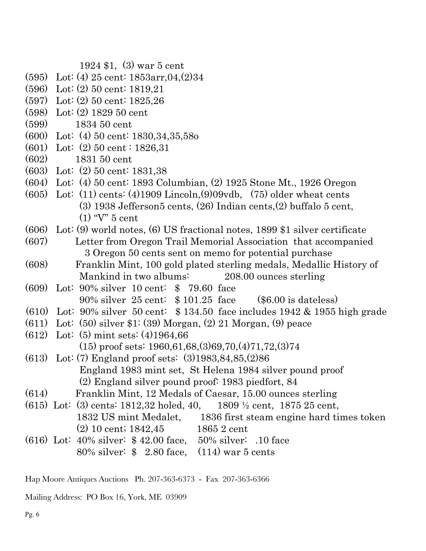1924 \$1, (3) war 5 cent

- (595) Lot: (4) 25 cent: 1853arr,04,(2)34
- (596) Lot: (2) 50 cent: 1819,21
- (597) Lot: (2) 50 cent: 1825,26
- (598) Lot: (2) 1829 50 cent
- (599) 1834 50 cent
- (600) Lot: (4) 50 cent: 1830,34,35,58o
- (601) Lot: (2) 50 cent : 1826,31
- (602) 1831 50 cent
- (603) Lot: (2) 50 cent: 1831,38
- (604) Lot: (4) 50 cent: 1893 Columbian, (2) 1925 Stone Mt., 1926 Oregon
- (605) Lot: (11) cents: (4)1909 Lincoln,(9)09vdb, (75) older wheat cents (3) 1938 Jefferson5 cents, (26) Indian cents,(2) buffalo 5 cent, (1) "V" 5 cent
- (606) Lot: (9) world notes, (6) US fractional notes, 1899 \$1 silver certificate
- (607) Letter from Oregon Trail Memorial Association that accompanied 3 Oregon 50 cents sent on memo for potential purchase
- (608) Franklin Mint, 100 gold plated sterling medals, Medallic History of Mankind in two albums: 208.00 ounces sterling
- (609) Lot: 90% silver 10 cent: \$ 79.60 face 90% silver 25 cent: \$ 101.25 face (\$6.00 is dateless)
- (610) Lot: 90% silver 50 cent: \$ 134.50 face includes 1942 & 1955 high grade
- (611) Lot: (50) silver \$1: (39) Morgan, (2) 21 Morgan, (9) peace
- (612) Lot: (5) mint sets: (4)1964,66 (15) proof sets: 1960,61,68,(3)69,70,(4)71,72,(3)74
- (613) Lot: (7) England proof sets: (3)1983,84,85,(2)86 England 1983 mint set, St Helena 1984 silver pound proof (2) England silver pound proof: 1983 piedfort, 84
- (614) Franklin Mint, 12 Medals of Caesar, 15.00 ounces sterling
- (615) Lot: (3) cents: 1812,32 holed, 40, 1809 ½ cent, 1875 25 cent, 1832 US mint Medalet, 1836 first steam engine hard times token (2) 10 cent; 1842,45 1865 2 cent
- (616) Lot: 40% silver: \$ 42.00 face, 50% silver: .10 face 80% silver: \$ 2.80 face, (114) war 5 cents

Hap Moore Antiques Auctions Ph. 207-363-6373 - Fax 207-363-6366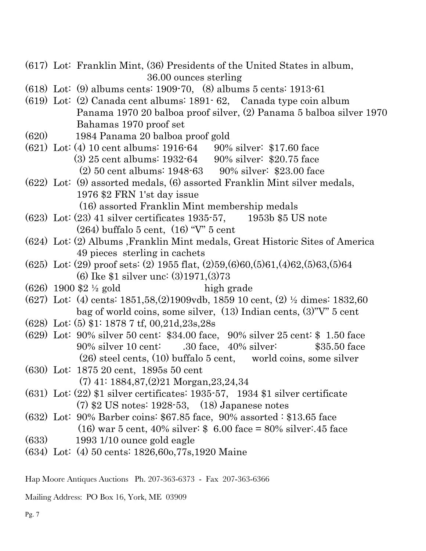- (617) Lot: Franklin Mint, (36) Presidents of the United States in album, 36.00 ounces sterling
- (618) Lot: (9) albums cents: 1909-70, (8) albums 5 cents: 1913-61
- (619) Lot: (2) Canada cent albums: 1891- 62, Canada type coin album Panama 1970 20 balboa proof silver, (2) Panama 5 balboa silver 1970 Bahamas 1970 proof set
- (620) 1984 Panama 20 balboa proof gold
- (621) Lot: (4) 10 cent albums: 1916-64 90% silver: \$17.60 face (3) 25 cent albums: 1932-64 90% silver: \$20.75 face (2) 50 cent albums: 1948-63 90% silver: \$23.00 face
- (622) Lot: (9) assorted medals, (6) assorted Franklin Mint silver medals, 1976 \$2 FRN 1'st day issue (16) assorted Franklin Mint membership medals
- (623) Lot: (23) 41 silver certificates 1935-57, 1953b \$5 US note (264) buffalo 5 cent, (16) "V" 5 cent
- (624) Lot: (2) Albums ,Franklin Mint medals, Great Historic Sites of America 49 pieces sterling in cachets
- (625) Lot: (29) proof sets: (2) 1955 flat, (2)59,(6)60,(5)61,(4)62,(5)63,(5)64 (6) Ike \$1 silver unc: (3)1971,(3)73
- $(626)$  1900 \$2 <sup>1/2</sup> gold high grade
- (627) Lot: (4) cents: 1851,58,(2)1909vdb, 1859 10 cent, (2) ½ dimes: 1832,60 bag of world coins, some silver, (13) Indian cents, (3)"V" 5 cent
- (628) Lot: (5) \$1: 1878 7 tf, 00,21d,23s,28s
- (629) Lot: 90% silver 50 cent: \$34.00 face, 90% silver 25 cent: \$ 1.50 face 90% silver 10 cent: .30 face, 40% silver: \$35.50 face (26) steel cents, (10) buffalo 5 cent, world coins, some silver
- (630) Lot: 1875 20 cent, 1895s 50 cent (7) 41: 1884,87,(2)21 Morgan,23,24,34
- (631) Lot: (22) \$1 silver certificates: 1935-57, 1934 \$1 silver certificate (7) \$2 US notes: 1928-53, (18) Japanese notes
- (632) Lot: 90% Barber coins: \$67.85 face, 90% assorted : \$13.65 face (16) war 5 cent, 40% silver: \$ 6.00 face = 80% silver:.45 face
- (633) 1993 1/10 ounce gold eagle
- (634) Lot: (4) 50 cents: 1826,60o,77s,1920 Maine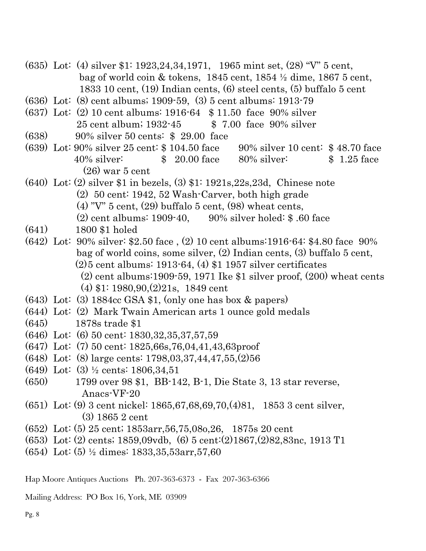- (635) Lot: (4) silver \$1: 1923,24,34,1971, 1965 mint set, (28) "V" 5 cent, bag of world coin & tokens, 1845 cent, 1854 ½ dime, 1867 5 cent, 1833 10 cent, (19) Indian cents, (6) steel cents, (5) buffalo 5 cent
- (636) Lot: (8) cent albums; 1909-59, (3) 5 cent albums: 1913-79
- (637) Lot: (2) 10 cent albums: 1916-64 \$ 11.50 face 90% silver 25 cent album; 1932-45 \$ 7.00 face 90% silver
- (638) 90% silver 50 cents: \$ 29.00 face
- (639) Lot: 90% silver 25 cent: \$ 104.50 face 90% silver 10 cent: \$ 48.70 face 40% silver: \$ 20.00 face 80% silver: \$ 1.25 face (26) war 5 cent
- (640) Lot: (2) silver \$1 in bezels, (3) \$1: 1921s,22s,23d, Chinese note (2) 50 cent: 1942, 52 Wash-Carver, both high grade  $(4)$  "V" 5 cent,  $(29)$  buffalo 5 cent,  $(98)$  wheat cents, (2) cent albums: 1909-40, 90% silver holed: \$ .60 face
- (641) 1800 \$1 holed
- (642) Lot: 90% silver: \$2.50 face , (2) 10 cent albums:1916-64: \$4.80 face 90% bag of world coins, some silver, (2) Indian cents, (3) buffalo 5 cent, (2)5 cent albums: 1913-64, (4) \$1 1957 silver certificates  $(2)$  cent albums:1909-59, 1971 Ike \$1 silver proof,  $(200)$  wheat cents (4) \$1: 1980,90,(2)21s, 1849 cent
- $(643)$  Lot: (3) 1884cc GSA \$1, (only one has box & papers)
- (644) Lot: (2) Mark Twain American arts 1 ounce gold medals
- (645) 1878s trade \$1
- (646) Lot: (6) 50 cent: 1830,32,35,37,57,59
- (647) Lot: (7) 50 cent: 1825,66s,76,04,41,43,63proof
- (648) Lot: (8) large cents: 1798,03,37,44,47,55,(2)56
- (649) Lot: (3) ½ cents: 1806,34,51
- (650) 1799 over 98 \$1, BB-142, B-1, Die State 3, 13 star reverse, Anacs-VF-20
- (651) Lot: (9) 3 cent nickel: 1865,67,68,69,70,(4)81, 1853 3 cent silver, (3) 1865 2 cent
- (652) Lot: (5) 25 cent; 1853arr,56,75,08o,26, 1875s 20 cent
- (653) Lot: (2) cents; 1859,09vdb, (6) 5 cent:(2)1867,(2)82,83nc, 1913 T1
- (654) Lot: (5) ½ dimes: 1833,35,53arr,57,60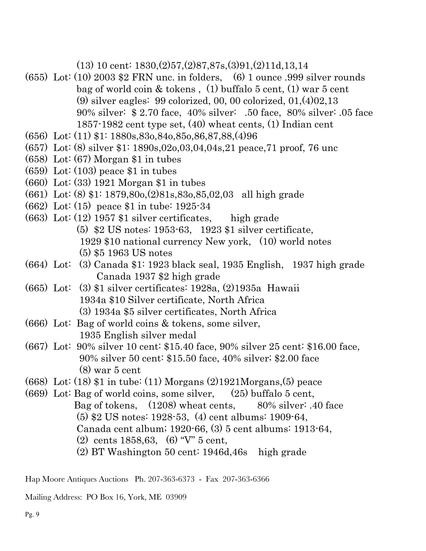(13) 10 cent: 1830,(2)57,(2)87,87s,(3)91,(2)11d,13,14

- (655) Lot: (10) 2003 \$2 FRN unc. in folders, (6) 1 ounce .999 silver rounds bag of world coin & tokens , (1) buffalo 5 cent, (1) war 5 cent (9) silver eagles: 99 colorized, 00, 00 colorized, 01,(4)02,13 90% silver: \$ 2.70 face, 40% silver: .50 face, 80% silver: .05 face 1857-1982 cent type set, (40) wheat cents, (1) Indian cent
- (656) Lot: (11) \$1: 1880s,83o,84o,85o,86,87,88,(4)96
- (657) Lot: (8) silver \$1: 1890s,02o,03,04,04s,21 peace,71 proof, 76 unc
- (658) Lot: (67) Morgan \$1 in tubes
- $(659)$  Lot:  $(103)$  peace \$1 in tubes
- (660) Lot: (33) 1921 Morgan \$1 in tubes
- (661) Lot: (8) \$1: 1879,80o,(2)81s,83o,85,02,03 all high grade
- (662) Lot: (15) peace \$1 in tube: 1925-34
- (663) Lot: (12) 1957 \$1 silver certificates, high grade (5) \$2 US notes: 1953-63, 1923 \$1 silver certificate, 1929 \$10 national currency New york, (10) world notes (5) \$5 1963 US notes
- (664) Lot: (3) Canada \$1: 1923 black seal, 1935 English, 1937 high grade Canada 1937 \$2 high grade
- (665) Lot: (3) \$1 silver certificates: 1928a, (2)1935a Hawaii 1934a \$10 Silver certificate, North Africa (3) 1934a \$5 silver certificates, North Africa
- (666) Lot: Bag of world coins & tokens, some silver, 1935 English silver medal
- (667) Lot: 90% silver 10 cent: \$15.40 face, 90% silver 25 cent: \$16.00 face, 90% silver 50 cent: \$15.50 face, 40% silver; \$2.00 face (8) war 5 cent
- (668) Lot: (18) \$1 in tube: (11) Morgans (2)1921Morgans,(5) peace
- (669) Lot: Bag of world coins, some silver,  $(25)$  buffalo 5 cent, Bag of tokens,  $(1208)$  wheat cents,  $80\%$  silver: .40 face (5) \$2 US notes: 1928-53, (4) cent albums: 1909-64, Canada cent album; 1920-66, (3) 5 cent albums: 1913-64, (2) cents 1858,63, (6) "V" 5 cent, (2) BT Washington 50 cent: 1946d,46s high grade

Hap Moore Antiques Auctions Ph. 207-363-6373 - Fax 207-363-6366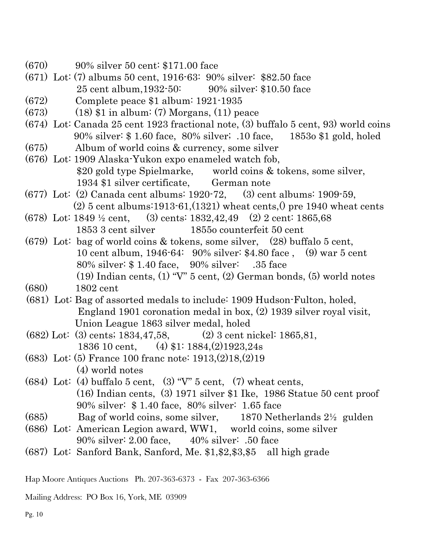- (670) 90% silver 50 cent: \$171.00 face
- (671) Lot: (7) albums 50 cent, 1916-63: 90% silver: \$82.50 face 25 cent album,1932-50: 90% silver: \$10.50 face
- (672) Complete peace \$1 album: 1921-1935
- $(673)$  (18) \$1 in album: (7) Morgans, (11) peace
- (674) Lot: Canada 25 cent 1923 fractional note, (3) buffalo 5 cent, 93) world coins 90% silver: \$ 1.60 face, 80% silver; .10 face, 1853o \$1 gold, holed
- (675) Album of world coins & currency, some silver
- (676) Lot: 1909 Alaska-Yukon expo enameled watch fob, \$20 gold type Spielmarke, world coins & tokens, some silver, 1934 \$1 silver certificate, German note
- (677) Lot: (2) Canada cent albums: 1920-72, (3) cent albums: 1909-59,  $(2)$  5 cent albums:1913-61, $(1321)$  wheat cents, $(2)$  pre 1940 wheat cents
- (678) Lot: 1849 ½ cent, (3) cents: 1832,42,49 (2) 2 cent: 1865,68 1853 3 cent silver 1855o counterfeit 50 cent
- (679) Lot: bag of world coins & tokens, some silver, (28) buffalo 5 cent, 10 cent album, 1946-64: 90% silver: \$4.80 face , (9) war 5 cent 80% silver: \$ 1.40 face, 90% silver: .35 face (19) Indian cents,  $(1)$  "V"  $5$  cent,  $(2)$  German bonds,  $(5)$  world notes
- (680) 1802 cent
- (681) Lot: Bag of assorted medals to include: 1909 Hudson-Fulton, holed, England 1901 coronation medal in box, (2) 1939 silver royal visit, Union League 1863 silver medal, holed
- (682) Lot: (3) cents; 1834,47,58, (2) 3 cent nickel: 1865,81, 1836 10 cent, (4) \$1: 1884,(2)1923,24s
- (683) Lot: (5) France 100 franc note: 1913,(2)18,(2)19 (4) world notes
- (684) Lot: (4) buffalo 5 cent, (3) "V" 5 cent, (7) wheat cents, (16) Indian cents, (3) 1971 silver \$1 Ike, 1986 Statue 50 cent proof 90% silver: \$ 1.40 face, 80% silver: 1.65 face
- $(685)$  Bag of world coins, some silver, 1870 Netherlands  $2\frac{1}{2}$  gulden
- (686) Lot: American Legion award, WW1, world coins, some silver 90% silver: 2.00 face, 40% silver: .50 face
- (687) Lot: Sanford Bank, Sanford, Me. \$1,\$2,\$3,\$5 all high grade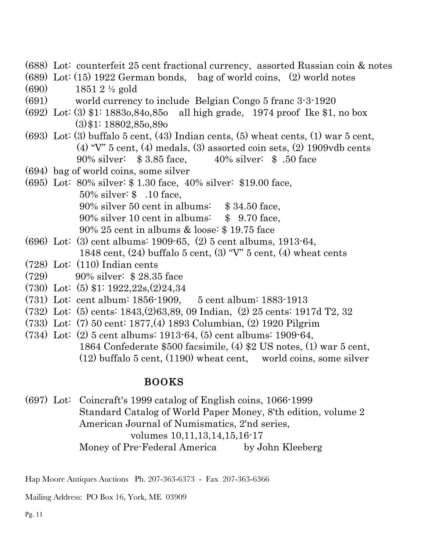- (688) Lot: counterfeit 25 cent fractional currency, assorted Russian coin & notes
- (689) Lot: (15) 1922 German bonds, bag of world coins, (2) world notes
- (690) 1851 2 ½ gold
- (691) world currency to include Belgian Congo 5 franc 3-3-1920
- (692) Lot: (3) \$1: 1883o,84o,85o all high grade, 1974 proof Ike \$1, no box (3)\$1: 18802,85o,89o
- (693) Lot: (3) buffalo 5 cent, (43) Indian cents, (5) wheat cents, (1) war 5 cent, (4) " $V$ " 5 cent, (4) medals, (3) assorted coin sets, (2) 1909 $v$ db cents 90% silver: \$ 3.85 face, 40% silver: \$ .50 face
- (694) bag of world coins, some silver
- (695) Lot: 80% silver: \$ 1.30 face, 40% silver: \$19.00 face, 50% silver: \$ .10 face, 90% silver 50 cent in albums: \$ 34.50 face, 90% silver 10 cent in albums: \$ 9.70 face, 90% 25 cent in albums & loose: \$ 19.75 face
- (696) Lot: (3) cent albums: 1909-65, (2) 5 cent albums, 1913-64, 1848 cent,  $(24)$  buffalo 5 cent,  $(3)$  "V" 5 cent,  $(4)$  wheat cents
- (728) Lot: (110) Indian cents
- (729) 90% silver: \$ 28.35 face
- (730) Lot: (5) \$1: 1922,22s,(2)24,34
- (731) Lot: cent album: 1856-1909, 5 cent album: 1883-1913
- (732) Lot: (5) cents: 1843,(2)63,89, 09 Indian, (2) 25 cents: 1917d T2, 32
- (733) Lot: (7) 50 cent: 1877,(4) 1893 Columbian, (2) 1920 Pilgrim
- (734) Lot: (2) 5 cent albums: 1913-64, (5) cent albums: 1909-64, 1864 Confederate \$500 facsimile, (4) \$2 US notes, (1) war 5 cent, (12) buffalo 5 cent, (1190) wheat cent, world coins, some silver

### BOOKS

(697) Lot: Coincraft's 1999 catalog of English coins, 1066-1999 Standard Catalog of World Paper Money, 8'th edition, volume 2 American Journal of Numismatics, 2'nd series, volumes 10,11,13,14,15,16-17 Money of Pre-Federal America by John Kleeberg

Hap Moore Antiques Auctions Ph. 207-363-6373 - Fax 207-363-6366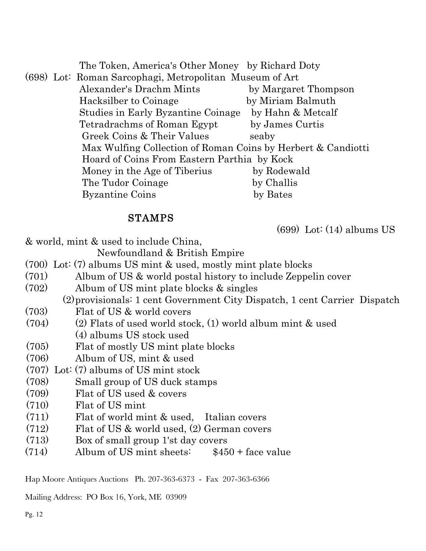The Token, America's Other Money by Richard Doty (698) Lot: Roman Sarcophagi, Metropolitan Museum of Art Alexander's Drachm Mints by Margaret Thompson Hacksilber to Coinage by Miriam Balmuth Studies in Early Byzantine Coinage by Hahn & Metcalf Tetradrachms of Roman Egypt by James Curtis Greek Coins & Their Values seaby Max Wulfing Collection of Roman Coins by Herbert & Candiotti Hoard of Coins From Eastern Parthia by Kock Money in the Age of Tiberius by Rodewald The Tudor Coinage by Challis Byzantine Coins by Bates

# STAMPS

(699) Lot: (14) albums US

& world, mint & used to include China,

Newfoundland & British Empire

- (700) Lot: (7) albums US mint & used, mostly mint plate blocks
- (701) Album of US & world postal history to include Zeppelin cover
- (702) Album of US mint plate blocks & singles

(2)provisionals: 1 cent Government City Dispatch, 1 cent Carrier Dispatch

- (703) Flat of US & world covers
- (704) (2) Flats of used world stock, (1) world album mint & used (4) albums US stock used
- (705) Flat of mostly US mint plate blocks
- (706) Album of US, mint & used
- (707) Lot: (7) albums of US mint stock
- (708) Small group of US duck stamps
- (709) Flat of US used & covers
- (710) Flat of US mint
- (711) Flat of world mint & used, Italian covers
- (712) Flat of US & world used, (2) German covers
- (713) Box of small group 1'st day covers
- $(714)$  Album of US mint sheets:  $$450 + face$  value

Hap Moore Antiques Auctions Ph. 207-363-6373 - Fax 207-363-6366